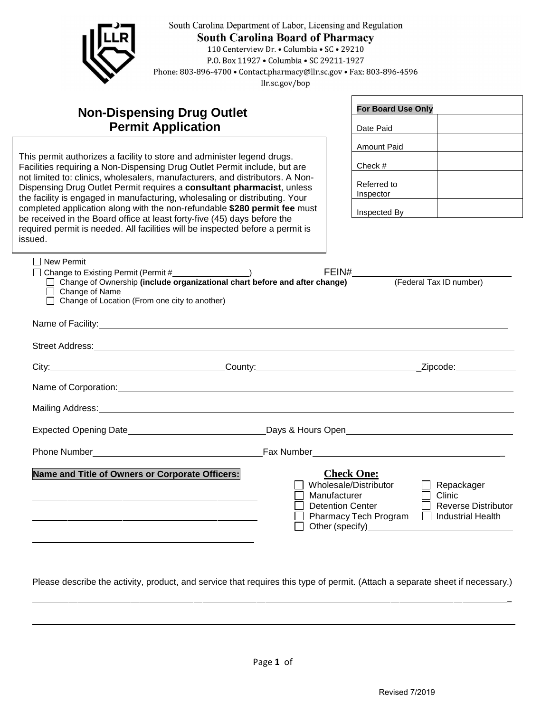

Please describe the activity, product, and service that requires this type of permit. (Attach a separate sheet if necessary.)

 $\overline{a}$